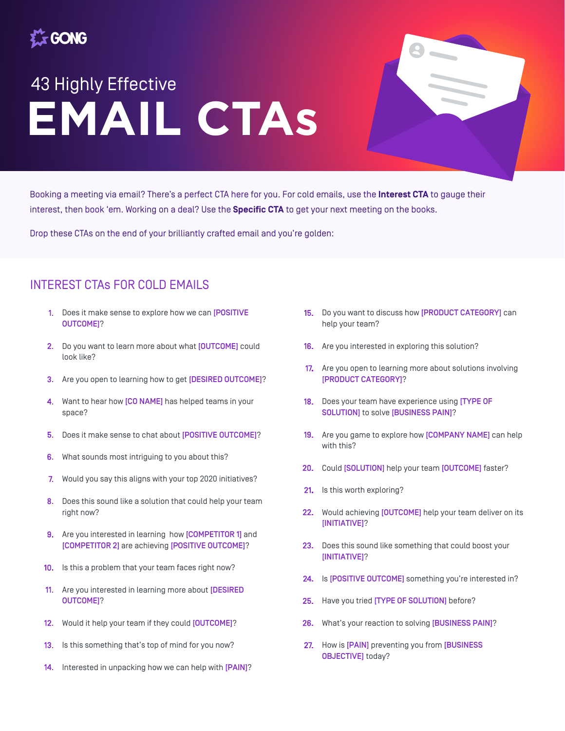

## **EMAIL CTAs** 43 Highly Effective

Booking a meeting via email? There's a perfect CTA here for you. For cold emails, use the **Interest CTA** to gauge their interest, then book 'em. Working on a deal? Use the **Specific CTA** to get your next meeting on the books.

Drop these CTAs on the end of your brilliantly crafted email and you're golden:

## INTEREST CTAs FOR COLD EMAILS

- 1. Does it make sense to explore how we can [POSITIVE OUTCOME]?
- 2. Do you want to learn more about what [OUTCOME] could look like?
- 3. Are you open to learning how to get [DESIRED OUTCOME]?
- $\overline{4}$ . Want to hear how [CO NAME] has helped teams in your space?
- 5. Does it make sense to chat about [POSITIVE OUTCOME]?
- 6. What sounds most intriguing to you about this?
- Would you say this aligns with your top 2020 initiatives? 7.
- 8. Does this sound like a solution that could help your team right now?
- 9. Are you interested in learning how [COMPETITOR 1] and [COMPETITOR 2] are achieving [POSITIVE OUTCOME]?
- $10<sub>1</sub>$ Is this a problem that your team faces right now?
- 11. Are you interested in learning more about [DESIRED OUTCOME]?
- $12<sub>1</sub>$ Would it help your team if they could [OUTCOME]?
- Is this something that's top of mind for you now?  $13.$
- 14. Interested in unpacking how we can help with [PAIN]?
- 15. Do you want to discuss how [PRODUCT CATEGORY] can help your team?
- 16. Are you interested in exploring this solution?
- 17. Are you open to learning more about solutions involving [PRODUCT CATEGORY]?
- 18. Does your team have experience using [TYPE OF SOLUTION] to solve [BUSINESS PAIN]?
- 19. Are you game to explore how [COMPANY NAME] can help with this?
- Could [SOLUTION] help your team [OUTCOME] faster?  $20<sub>1</sub>$
- Is this worth exploring?  $21.$
- 22. Would achieving [OUTCOME] help your team deliver on its [INITIATIVE]?
- 23. Does this sound like something that could boost your [INITIATIVE]?
- 24. Is [POSITIVE OUTCOME] something you're interested in?
- 25. Have you tried [TYPE OF SOLUTION] before?
- 26. What's your reaction to solving [BUSINESS PAIN]?
- 27. How is [PAIN] preventing you from [BUSINESS OBJECTIVE] today?